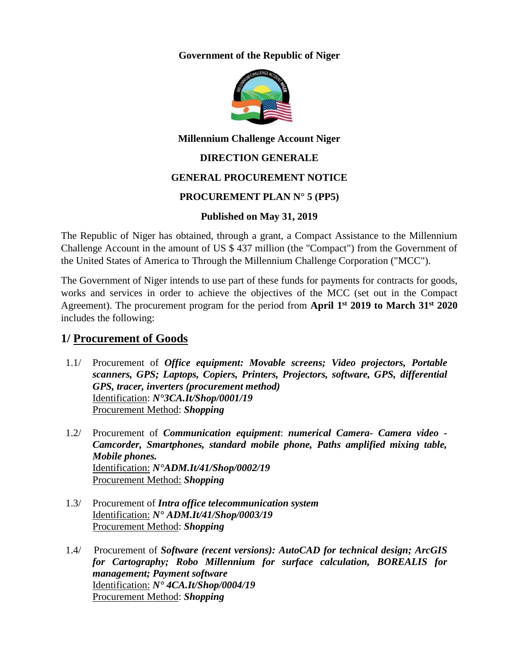**Government of the Republic of Niger**



**Millennium Challenge Account Niger**

### **DIRECTION GENERALE**

#### **GENERAL PROCUREMENT NOTICE**

#### **PROCUREMENT PLAN N° 5 (PP5)**

#### **Published on May 31, 2019**

The Republic of Niger has obtained, through a grant, a Compact Assistance to the Millennium Challenge Account in the amount of US \$ 437 million (the "Compact") from the Government of the United States of America to Through the Millennium Challenge Corporation ("MCC").

The Government of Niger intends to use part of these funds for payments for contracts for goods, works and services in order to achieve the objectives of the MCC (set out in the Compact Agreement). The procurement program for the period from **April 1st 2019 to March 31st 2020**  includes the following:

## **1/ Procurement of Goods**

- 1.1/ Procurement of *Office equipment: Movable screens; Video projectors, Portable scanners, GPS; Laptops, Copiers, Printers, Projectors, software, GPS, differential GPS, tracer, inverters (procurement method)* Identification: *N°3CA.It/Shop/0001/19*  Procurement Method: *Shopping*
- 1.2/ Procurement of *Communication equipment*: *numerical Camera- Camera video - Camcorder, Smartphones, standard mobile phone, Paths amplified mixing table, Mobile phones.* Identification: *N°ADM.It/41/Shop/0002/19* Procurement Method: *Shopping*
- 1.3/ Procurement of *Intra office telecommunication system*  Identification: *N° ADM.It/41/Shop/0003/19* Procurement Method: *Shopping*
- 1.4/ Procurement of *Software (recent versions): AutoCAD for technical design; ArcGIS for Cartography; Robo Millennium for surface calculation, BOREALIS for management; Payment software* Identification: *N° 4CA.It/Shop/0004/19* Procurement Method: *Shopping*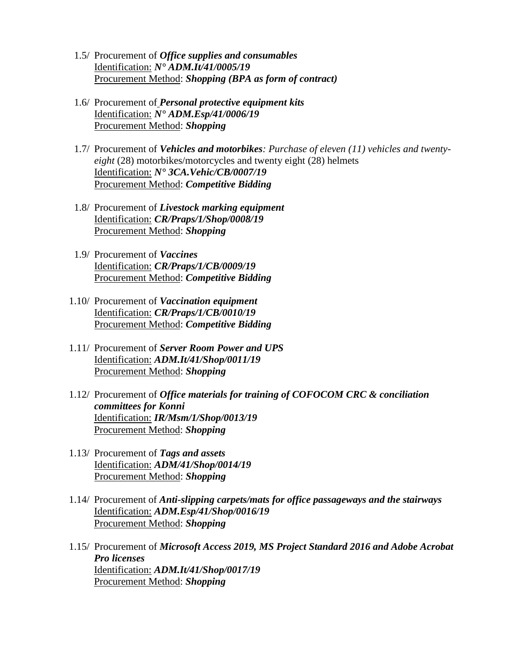- 1.5/ Procurement of *Office supplies and consumables* Identification: *N° ADM.It/41/0005/19* Procurement Method: *Shopping (BPA as form of contract)*
- 1.6/ Procurement of *Personal protective equipment kits* Identification: *N° ADM.Esp/41/0006/19* Procurement Method: *Shopping*
- 1.7/ Procurement of *Vehicles and motorbikes: Purchase of eleven (11) vehicles and twentyeight* (28) motorbikes/motorcycles and twenty eight (28) helmets Identification: *N° 3CA.Vehic/CB/0007/19*  Procurement Method: *Competitive Bidding*
- 1.8/ Procurement of *Livestock marking equipment* Identification: *CR/Praps/1/Shop/0008/19* Procurement Method: *Shopping*
- 1.9/ Procurement of *Vaccines* Identification: *CR/Praps/1/CB/0009/19* Procurement Method: *Competitive Bidding*
- 1.10/ Procurement of *Vaccination equipment* Identification: *CR/Praps/1/CB/0010/19* Procurement Method: *Competitive Bidding*
- 1.11/ Procurement of *Server Room Power and UPS* Identification: *ADM.It/41/Shop/0011/19* Procurement Method: *Shopping*
- 1.12/ Procurement of *Office materials for training of COFOCOM CRC & conciliation committees for Konni* Identification: *IR/Msm/1/Shop/0013/19* Procurement Method: *Shopping*
- 1.13/ Procurement of *Tags and assets* Identification: *ADM/41/Shop/0014/19* Procurement Method: *Shopping*
- 1.14/ Procurement of *Anti-slipping carpets/mats for office passageways and the stairways* Identification: *ADM.Esp/41/Shop/0016/19* Procurement Method: *Shopping*
- 1.15/ Procurement of *Microsoft Access 2019, MS Project Standard 2016 and Adobe Acrobat Pro licenses* Identification: *ADM.It/41/Shop/0017/19* Procurement Method: *Shopping*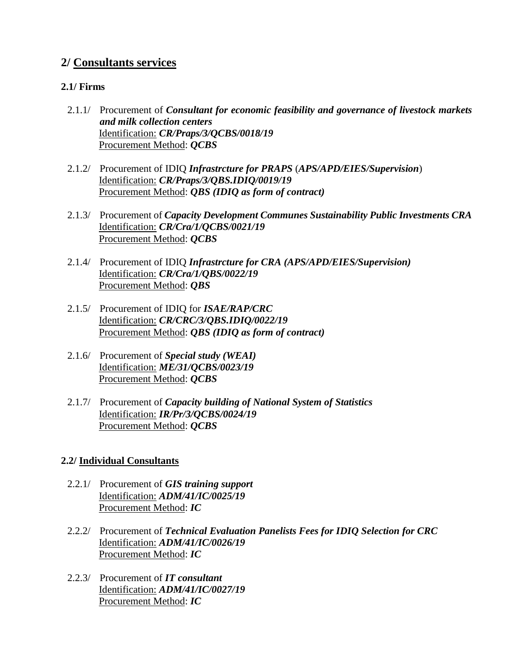# **2/ Consultants services**

### **2.1/ Firms**

- 2.1.1/ Procurement of *Consultant for economic feasibility and governance of livestock markets and milk collection centers* Identification: *CR/Praps/3/QCBS/0018/19* Procurement Method: *QCBS*
- 2.1.2/ Procurement of IDIQ *Infrastrcture for PRAPS* (*APS/APD/EIES/Supervision*) Identification: *CR/Praps/3/QBS.IDIQ/0019/19* Procurement Method: *QBS (IDIQ as form of contract)*
- 2.1.3/ Procurement of *Capacity Development Communes Sustainability Public Investments CRA* Identification: *CR/Cra/1/QCBS/0021/19* Procurement Method: *QCBS*
- 2.1.4/ Procurement of IDIQ *Infrastrcture for CRA (APS/APD/EIES/Supervision)* Identification: *CR/Cra/1/QBS/0022/19* Procurement Method: *QBS*
- 2.1.5/ Procurement of IDIQ for *ISAE/RAP/CRC* Identification: *CR/CRC/3/QBS.IDIQ/0022/19* Procurement Method: *QBS (IDIQ as form of contract)*
- 2.1.6/ Procurement of *Special study (WEAI)* Identification: *ME/31/QCBS/0023/19* Procurement Method: *QCBS*
- 2.1.7/ Procurement of *Capacity building of National System of Statistics* Identification: *IR/Pr/3/QCBS/0024/19* Procurement Method: *QCBS*

### **2.2/ Individual Consultants**

- 2.2.1/ Procurement of *GIS training support* Identification: *ADM/41/IC/0025/19* Procurement Method: *IC*
- 2.2.2/ Procurement of *Technical Evaluation Panelists Fees for IDIQ Selection for CRC* Identification: *ADM/41/IC/0026/19* Procurement Method: *IC*
- 2.2.3/ Procurement of *IT consultant* Identification: *ADM/41/IC/0027/19* Procurement Method: *IC*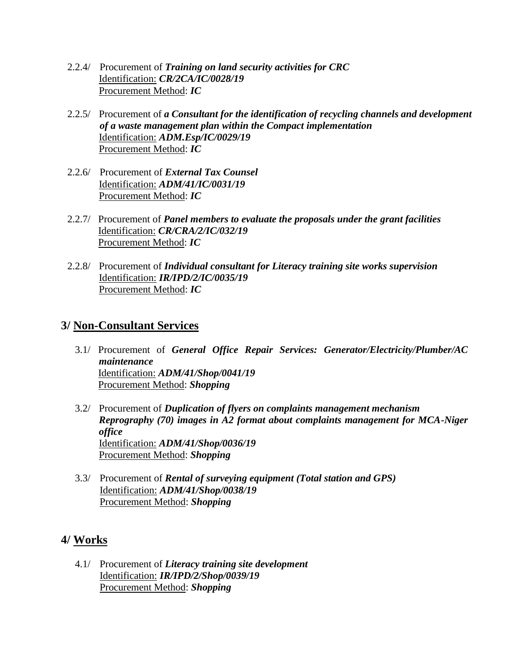- 2.2.4/ Procurement of *Training on land security activities for CRC* Identification: *CR/2CA/IC/0028/19* Procurement Method: *IC*
- 2.2.5/ Procurement of *a Consultant for the identification of recycling channels and development of a waste management plan within the Compact implementation* Identification: *ADM.Esp/IC/0029/19* Procurement Method: *IC*
- 2.2.6/ Procurement of *External Tax Counsel* Identification: *ADM/41/IC/0031/19* Procurement Method: *IC*
- 2.2.7/ Procurement of *Panel members to evaluate the proposals under the grant facilities* Identification: *CR/CRA/2/IC/032/19* Procurement Method: *IC*
- 2.2.8/ Procurement of *Individual consultant for Literacy training site works supervision* Identification: *IR/IPD/2/IC/0035/19* Procurement Method: *IC*

# **3/ Non-Consultant Services**

- 3.1/ Procurement of *General Office Repair Services: Generator/Electricity/Plumber/AC maintenance* Identification: *ADM/41/Shop/0041/19* Procurement Method: *Shopping*
- 3.2/ Procurement of *Duplication of flyers on complaints management mechanism Reprography (70) images in A2 format about complaints management for MCA-Niger office* Identification: *ADM/41/Shop/0036/19* Procurement Method: *Shopping*
- 3.3/ Procurement of *Rental of surveying equipment (Total station and GPS)* Identification: *ADM/41/Shop/0038/19* Procurement Method: *Shopping*

# **4/ Works**

4.1/ Procurement of *Literacy training site development* Identification: *IR/IPD/2/Shop/0039/19* Procurement Method: *Shopping*